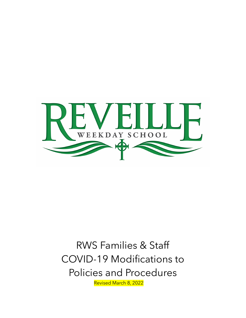

# RWS Families & Staff COVID-19 Modifications to Policies and Procedures<br>Revised March 8, 2022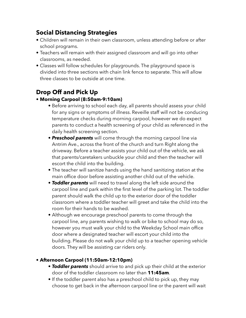#### **Social Distancing Strategies**

- Children will remain in their own classroom, unless attending before or after school programs.
- Teachers will remain with their assigned classroom and will go into other classrooms, as needed.
- Classes will follow schedules for playgrounds. The playground space is divided into three sections with chain link fence to separate. This will allow three classes to be outside at one time.

# **Drop Off and Pick Up**

#### **• Morning Carpool (8:50am-9:10am)**

- **•** Before arriving to school each day, all parents should assess your child for any signs or symptoms of illness. Reveille staff will not be conducing temperature checks during morning carpool, however we do expect parents to conduct a health screening of your child as referenced in the daily health screening section.
- *Preschool parents* will come through the morning carpool line via Antrim Ave., across the front of the church and turn Right along the driveway. Before a teacher assists your child out of the vehicle, we ask that parents/caretakers unbuckle your child and then the teacher will escort the child into the building.
- The teacher will sanitize hands using the hand sanitizing station at the main office door before assisting another child out of the vehicle.
- *Toddler parents* will need to travel along the left side around the carpool line and park within the first level of the parking lot. The toddler parent should walk the child up to the exterior door of the toddler classroom where a toddler teacher will greet and take the child into the room for their hands to be washed.
- Although we encourage preschool parents to come through the carpool line, any parents wishing to walk or bike to school may do so, however you must walk your child to the Weekday School main office door where a designated teacher will escort your child into the building. Please do not walk your child up to a teacher opening vehicle doors. They will be assisting car riders only.

#### **• Afternoon Carpool (11:50am-12:10pm)**

- *Toddler parents* should arrive to and pick up their child at the exterior door of the toddler classroom no later than **11:45am**.
- If the toddler parent also has a preschool child to pick up, they may choose to get back in the afternoon carpool line or the parent will wait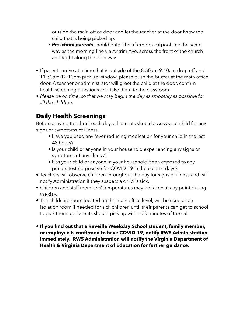outside the main office door and let the teacher at the door know the child that is being picked up.

- *Preschool parents* should enter the afternoon carpool line the same way as the morning line via Antrim Ave. across the front of the church and Right along the driveway.
- If parents arrive at a time that is outside of the 8:50am-9:10am drop off and 11:50am-12:10pm pick up window, please push the buzzer at the main office door. A teacher or administrator will greet the child at the door, confirm health screening questions and take them to the classroom.
- *• Please be on time, so that we may begin the day as smoothly as possible for all the children.*

## **Daily Health Screenings**

Before arriving to school each day, all parents should assess your child for any signs or symptoms of illness.

- Have you used any fever reducing medication for your child in the last 48 hours?
- Is your child or anyone in your household experiencing any signs or symptoms of any illness?
- Has your child or anyone in your household been exposed to any person testing positive for COVID-19 in the past 14 days?
- Teachers will observe children throughout the day for signs of illness and will notify Administration if they suspect a child is sick.
- Children and staff members' temperatures may be taken at any point during the day.
- The childcare room located on the main office level, will be used as an isolation room if needed for sick children until their parents can get to school to pick them up. Parents should pick up within 30 minutes of the call.
- **If you find out that a Reveille Weekday School student, family member, or employee is confirmed to have COVID-19, notify RWS Administration immediately. RWS Administration will notify the Virginia Department of Health & Virginia Department of Education for further guidance.**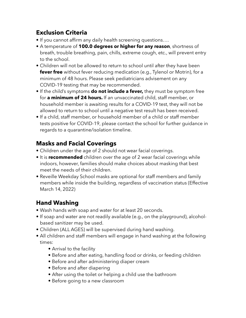## **Exclusion Criteria**

- If you cannot affirm any daily health screening questions….
- A temperature of **100.0 degrees or higher for any reason**, shortness of breath, trouble breathing, pain, chills, extreme cough, etc., will prevent entry to the school.
- Children will not be allowed to return to school until after they have been **fever free** without fever reducing medication (e.g., Tylenol or Motrin), for a minimum of 48 hours. Please seek pediatricians advisement on any COVID-19 testing that may be recommended.
- If the child's symptoms **do not include a fever,** they must be symptom free for **a minimum of 24 hours.** If an unvaccinated child, staff member, or household member is awaiting results for a COVID-19 test, they will not be allowed to return to school until a negative test result has been received.
- If a child, staff member, or household member of a child or staff member tests positive for COVID-19, please contact the school for further guidance in regards to a quarantine/isolation timeline.

## **Masks and Facial Coverings**

- Children under the age of 2 should not wear facial coverings.
- It is **recommended** children over the age of 2 wear facial coverings while indoors, however, families should make choices about masking that best meet the needs of their children.
- Reveille Weekday School masks are optional for staff members and family members while inside the building, regardless of vaccination status (Effective March 14, 2022)

## **Hand Washing**

- Wash hands with soap and water for at least 20 seconds.
- If soap and water are not readily available (e.g., on the playground), alcoholbased sanitizer may be used.
- Children (ALL AGES) will be supervised during hand washing.
- All children and staff members will engage in hand washing at the following times:
	- Arrival to the facility
	- Before and after eating, handling food or drinks, or feeding children
	- Before and after administering diaper cream
	- Before and after diapering
	- After using the toilet or helping a child use the bathroom
	- Before going to a new classroom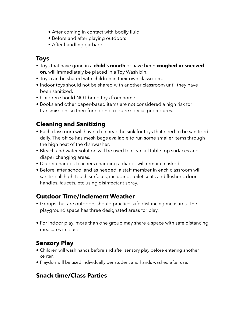- After coming in contact with bodily fluid
- Before and after playing outdoors
- After handling garbage

#### **Toys**

- Toys that have gone in a **child's mouth** or have been **coughed or sneezed on**, will immediately be placed in a Toy Wash bin.
- Toys can be shared with children in their own classroom.
- Indoor toys should not be shared with another classroom until they have been sanitized.
- Children should NOT bring toys from home.
- Books and other paper-based items are not considered a high risk for transmission, so therefore do not require special procedures.

# **Cleaning and Sanitizing**

- Each classroom will have a bin near the sink for toys that need to be sanitized daily. The office has mesh bags available to run some smaller items through the high heat of the dishwasher.
- Bleach and water solution will be used to clean all table top surfaces and diaper changing areas.
- Diaper changes-teachers changing a diaper will remain masked.
- Before, after school and as needed, a staff member in each classroom will sanitize all high-touch surfaces, including: toilet seats and flushers, door handles, faucets, etc.using disinfectant spray.

# **Outdoor Time/Inclement Weather**

- Groups that are outdoors should practice safe distancing measures. The playground space has three designated areas for play.
- For indoor play, more than one group may share a space with safe distancing measures in place.

# **Sensory Play**

- Children will wash hands before and after sensory play before entering another center.
- Playdoh will be used individually per student and hands washed after use.

# **Snack time/Class Parties**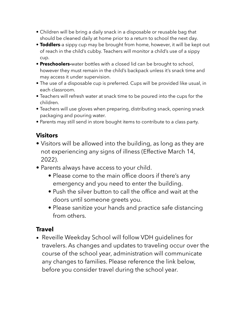- Children will be bring a daily snack in a disposable or reusable bag that should be cleaned daily at home prior to a return to school the next day.
- **Toddlers**-a sippy cup may be brought from home, however, it will be kept out of reach in the child's cubby. Teachers will monitor a child's use of a sippy cup.
- **Preschoolers-**water bottles with a closed lid can be brought to school, however they must remain in the child's backpack unless it's snack time and may access it under supervision.
- The use of a disposable cup is preferred. Cups will be provided like usual, in each classroom.
- Teachers will refresh water at snack time to be poured into the cups for the children.
- Teachers will use gloves when preparing, distributing snack, opening snack packaging and pouring water.
- Parents may still send in store bought items to contribute to a class party.

#### **Visitors**

- Visitors will be allowed into the building, as long as they are not experiencing any signs of illness (Effective March 14, 2022).
- Parents always have access to your child.
	- Please come to the main office doors if there's any emergency and you need to enter the building.
	- Push the silver button to call the office and wait at the doors until someone greets you.
	- Please sanitize your hands and practice safe distancing from others.

## **Travel**

• Reveille Weekday School will follow VDH guidelines for travelers. As changes and updates to traveling occur over the course of the school year, administration will communicate any changes to families. Please reference the link below, before you consider travel during the school year.